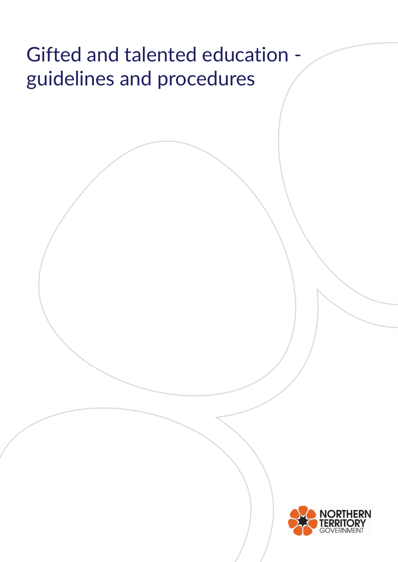# Gifted and talented education guidelines and procedures

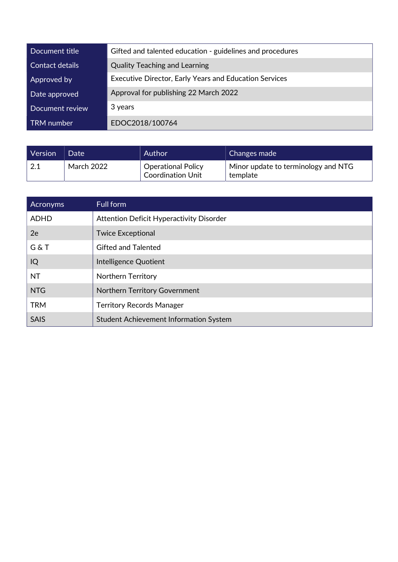| Document title  | Gifted and talented education - guidelines and procedures     |
|-----------------|---------------------------------------------------------------|
| Contact details | <b>Quality Teaching and Learning</b>                          |
| Approved by     | <b>Executive Director, Early Years and Education Services</b> |
| Date approved   | Approval for publishing 22 March 2022                         |
| Document review | 3 years                                                       |
| TRM number      | EDOC2018/100764                                               |

| <b>Version</b>  | Date              | Author                                                | Changes made                                    |
|-----------------|-------------------|-------------------------------------------------------|-------------------------------------------------|
| $^{\prime}$ 2.1 | <b>March 2022</b> | <b>Operational Policy</b><br><b>Coordination Unit</b> | Minor update to terminology and NTG<br>template |

| Acronyms    | Full form                                     |
|-------------|-----------------------------------------------|
| <b>ADHD</b> | Attention Deficit Hyperactivity Disorder      |
| 2e          | <b>Twice Exceptional</b>                      |
| G & T       | <b>Gifted and Talented</b>                    |
| IQ          | Intelligence Quotient                         |
| <b>NT</b>   | <b>Northern Territory</b>                     |
| <b>NTG</b>  | Northern Territory Government                 |
| <b>TRM</b>  | <b>Territory Records Manager</b>              |
| <b>SAIS</b> | <b>Student Achievement Information System</b> |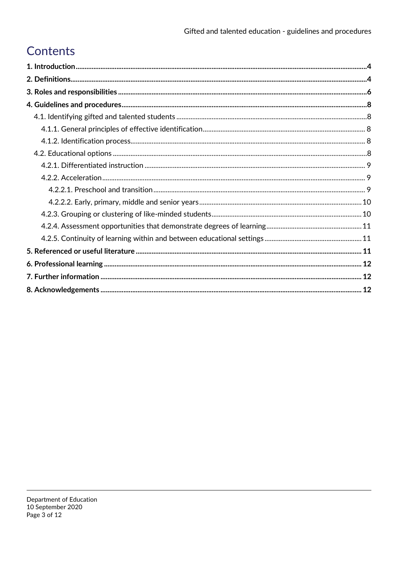# Contents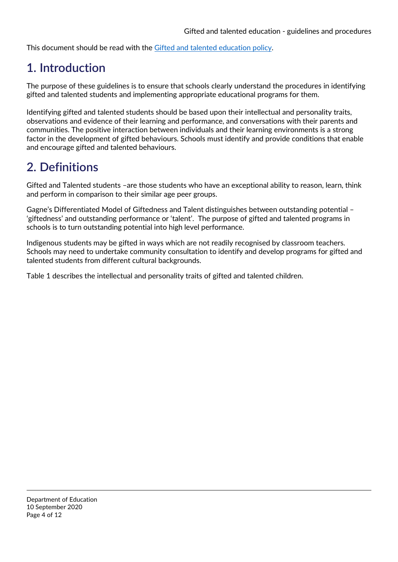This document should be read with the Gifted and talented education policy.

## 1. Introduction

The purpose of these guidelines is to ensure that schools clearly understand the procedures in identifying gifted and talented students and implementing appropriate educational programs for them.

Identifying gifted and talented students should be based upon their intellectual and personality traits, observations and evidence of their learning and performance, and conversations with their parents and communities. The positive interaction between individuals and their learning environments is a strong factor in the development of gifted behaviours. Schools must identify and provide conditions that enable and encourage gifted and talented behaviours.

## 2. Definitions

Gifted and Talented students –are those students who have an exceptional ability to reason, learn, think and perform in comparison to their similar age peer groups.

Gagne's Differentiated Model of Giftedness and Talent distinguishes between outstanding potential – 'giftedness' and outstanding performance or 'talent'. The purpose of gifted and talented programs in schools is to turn outstanding potential into high level performance.

Indigenous students may be gifted in ways which are not readily recognised by classroom teachers. Schools may need to undertake community consultation to identify and develop programs for gifted and talented students from different cultural backgrounds.

Table 1 describes the intellectual and personality traits of gifted and talented children.

Department of Education 10 September 2020 Page 4 of 12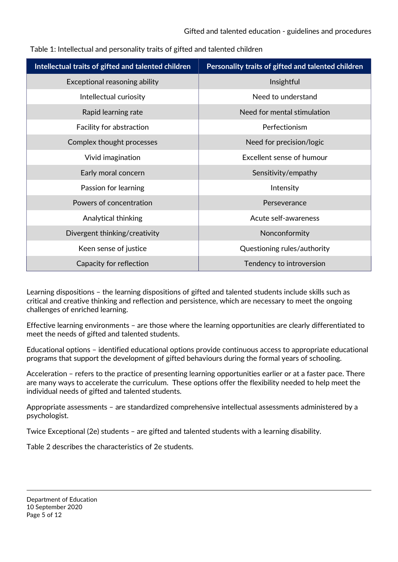| Intellectual traits of gifted and talented children | Personality traits of gifted and talented children |  |
|-----------------------------------------------------|----------------------------------------------------|--|
| Exceptional reasoning ability                       | Insightful                                         |  |
| Intellectual curiosity                              | Need to understand                                 |  |
| Rapid learning rate                                 | Need for mental stimulation                        |  |
| Facility for abstraction                            | Perfectionism                                      |  |
| Complex thought processes                           | Need for precision/logic                           |  |
| Vivid imagination                                   | Excellent sense of humour                          |  |
| Early moral concern                                 | Sensitivity/empathy                                |  |
| Passion for learning                                | Intensity                                          |  |
| Powers of concentration                             | Perseverance                                       |  |
| Analytical thinking                                 | Acute self-awareness                               |  |
| Divergent thinking/creativity                       | Nonconformity                                      |  |
| Keen sense of justice                               | Questioning rules/authority                        |  |
| Capacity for reflection                             | Tendency to introversion                           |  |

Table 1: Intellectual and personality traits of gifted and talented children

Learning dispositions – the learning dispositions of gifted and talented students include skills such as critical and creative thinking and reflection and persistence, which are necessary to meet the ongoing challenges of enriched learning.

Effective learning environments – are those where the learning opportunities are clearly differentiated to meet the needs of gifted and talented students.

Educational options – identified educational options provide continuous access to appropriate educational programs that support the development of gifted behaviours during the formal years of schooling.

Acceleration – refers to the practice of presenting learning opportunities earlier or at a faster pace. There are many ways to accelerate the curriculum. These options offer the flexibility needed to help meet the individual needs of gifted and talented students.

Appropriate assessments – are standardized comprehensive intellectual assessments administered by a psychologist.

Twice Exceptional (2e) students – are gifted and talented students with a learning disability.

Table 2 describes the characteristics of 2e students.

Department of Education 10 September 2020 Page 5 of 12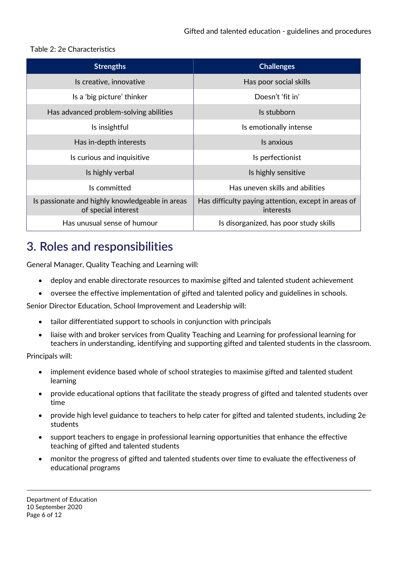#### Table 2: 2e Characteristics

| <b>Strengths</b>                                                       | <b>Challenges</b>                                                |  |
|------------------------------------------------------------------------|------------------------------------------------------------------|--|
| Is creative, innovative                                                | Has poor social skills                                           |  |
| Is a 'big picture' thinker                                             | Doesn't 'fit in'                                                 |  |
| Has advanced problem-solving abilities                                 | Is stubborn                                                      |  |
| Is insightful                                                          | Is emotionally intense                                           |  |
| Has in-depth interests                                                 | Is anxious                                                       |  |
| Is curious and inquisitive                                             | Is perfectionist                                                 |  |
| Is highly verbal                                                       | Is highly sensitive                                              |  |
| Is committed                                                           | Has uneven skills and abilities                                  |  |
| Is passionate and highly knowledgeable in areas<br>of special interest | Has difficulty paying attention, except in areas of<br>interests |  |
| Has unusual sense of humour                                            | Is disorganized, has poor study skills                           |  |

## 3. Roles and responsibilities

General Manager, Quality Teaching and Learning will:

- deploy and enable directorate resources to maximise gifted and talented student achievement
- oversee the effective implementation of gifted and talented policy and guidelines in schools.

Senior Director Education, School Improvement and Leadership will:

- tailor differentiated support to schools in conjunction with principals
- liaise with and broker services from Quality Teaching and Learning for professional learning for teachers in understanding, identifying and supporting gifted and talented students in the classroom.

Principals will:

- implement evidence based whole of school strategies to maximise gifted and talented student learning
- provide educational options that facilitate the steady progress of gifted and talented students over time
- provide high level guidance to teachers to help cater for gifted and talented students, including 2e students
- support teachers to engage in professional learning opportunities that enhance the effective teaching of gifted and talented students
- monitor the progress of gifted and talented students over time to evaluate the effectiveness of educational programs

Department of Education 10 September 2020 Page 6 of 12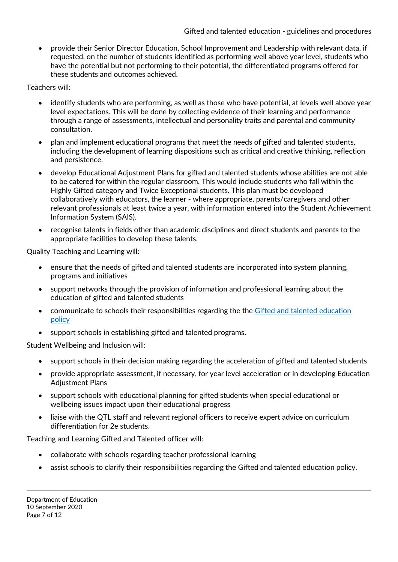provide their Senior Director Education, School Improvement and Leadership with relevant data, if requested, on the number of students identified as performing well above year level, students who have the potential but not performing to their potential, the differentiated programs offered for these students and outcomes achieved.

Teachers will:

- identify students who are performing, as well as those who have potential, at levels well above year level expectations. This will be done by collecting evidence of their learning and performance through a range of assessments, intellectual and personality traits and parental and community consultation.
- plan and implement educational programs that meet the needs of gifted and talented students, including the development of learning dispositions such as critical and creative thinking, reflection and persistence.
- develop Educational Adjustment Plans for gifted and talented students whose abilities are not able to be catered for within the regular classroom. This would include students who fall within the Highly Gifted category and Twice Exceptional students. This plan must be developed collaboratively with educators, the learner - where appropriate, parents/caregivers and other relevant professionals at least twice a year, with information entered into the Student Achievement Information System (SAIS).
- recognise talents in fields other than academic disciplines and direct students and parents to the appropriate facilities to develop these talents.

Quality Teaching and Learning will:

- ensure that the needs of gifted and talented students are incorporated into system planning, programs and initiatives
- support networks through the provision of information and professional learning about the education of gifted and talented students
- communicate to schools their responsibilities regarding the the Gifted and talented education policy
- support schools in establishing gifted and talented programs.

Student Wellbeing and Inclusion will:

- support schools in their decision making regarding the acceleration of gifted and talented students
- provide appropriate assessment, if necessary, for year level acceleration or in developing Education Adjustment Plans
- support schools with educational planning for gifted students when special educational or wellbeing issues impact upon their educational progress
- liaise with the QTL staff and relevant regional officers to receive expert advice on curriculum differentiation for 2e students.

Teaching and Learning Gifted and Talented officer will:

- collaborate with schools regarding teacher professional learning
- assist schools to clarify their responsibilities regarding the Gifted and talented education policy.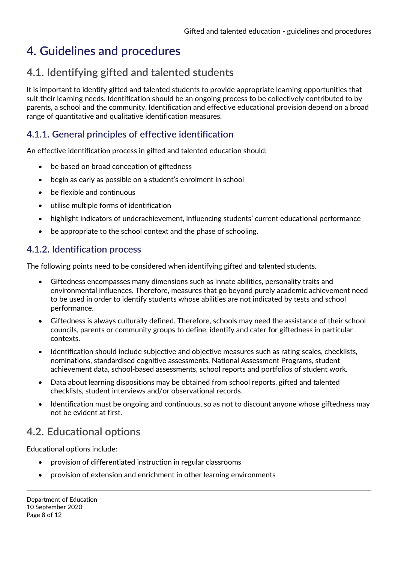# 4. Guidelines and procedures

### 4.1. Identifying gifted and talented students

It is important to identify gifted and talented students to provide appropriate learning opportunities that suit their learning needs. Identification should be an ongoing process to be collectively contributed to by parents, a school and the community. Identification and effective educational provision depend on a broad range of quantitative and qualitative identification measures.

#### 4.1.1. General principles of effective identification

An effective identification process in gifted and talented education should:

- be based on broad conception of giftedness
- begin as early as possible on a student's enrolment in school
- be flexible and continuous
- utilise multiple forms of identification
- highlight indicators of underachievement, influencing students' current educational performance
- be appropriate to the school context and the phase of schooling.

#### 4.1.2. Identification process

The following points need to be considered when identifying gifted and talented students.

- Giftedness encompasses many dimensions such as innate abilities, personality traits and environmental influences. Therefore, measures that go beyond purely academic achievement need to be used in order to identify students whose abilities are not indicated by tests and school performance.
- Giftedness is always culturally defined. Therefore, schools may need the assistance of their school councils, parents or community groups to define, identify and cater for giftedness in particular contexts.
- Identification should include subjective and objective measures such as rating scales, checklists, nominations, standardised cognitive assessments, National Assessment Programs, student achievement data, school-based assessments, school reports and portfolios of student work.
- Data about learning dispositions may be obtained from school reports, gifted and talented checklists, student interviews and/or observational records.
- Identification must be ongoing and continuous, so as not to discount anyone whose giftedness may not be evident at first.

### 4.2. Educational options

Educational options include:

- provision of differentiated instruction in regular classrooms
- provision of extension and enrichment in other learning environments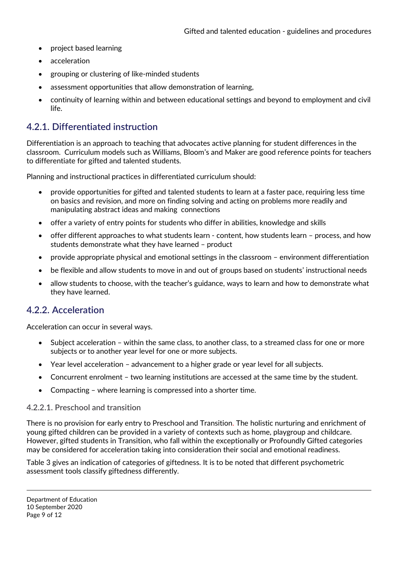- project based learning
- acceleration
- grouping or clustering of like-minded students
- assessment opportunities that allow demonstration of learning,
- continuity of learning within and between educational settings and beyond to employment and civil life.

#### 4.2.1. Differentiated instruction

Differentiation is an approach to teaching that advocates active planning for student differences in the classroom. Curriculum models such as Williams, Bloom's and Maker are good reference points for teachers to differentiate for gifted and talented students.

Planning and instructional practices in differentiated curriculum should:

- provide opportunities for gifted and talented students to learn at a faster pace, requiring less time on basics and revision, and more on finding solving and acting on problems more readily and manipulating abstract ideas and making connections
- offer a variety of entry points for students who differ in abilities, knowledge and skills
- offer different approaches to what students learn content, how students learn process, and how students demonstrate what they have learned – product
- provide appropriate physical and emotional settings in the classroom environment differentiation
- be flexible and allow students to move in and out of groups based on students' instructional needs
- allow students to choose, with the teacher's guidance, ways to learn and how to demonstrate what they have learned.

#### 4.2.2. Acceleration

Acceleration can occur in several ways.

- Subject acceleration within the same class, to another class, to a streamed class for one or more subjects or to another year level for one or more subjects.
- Year level acceleration advancement to a higher grade or year level for all subjects.
- Concurrent enrolment two learning institutions are accessed at the same time by the student.
- Compacting where learning is compressed into a shorter time.

#### 4.2.2.1. Preschool and transition

There is no provision for early entry to Preschool and Transition. The holistic nurturing and enrichment of young gifted children can be provided in a variety of contexts such as home, playgroup and childcare. However, gifted students in Transition, who fall within the exceptionally or Profoundly Gifted categories may be considered for acceleration taking into consideration their social and emotional readiness.

Table 3 gives an indication of categories of giftedness. It is to be noted that different psychometric assessment tools classify giftedness differently.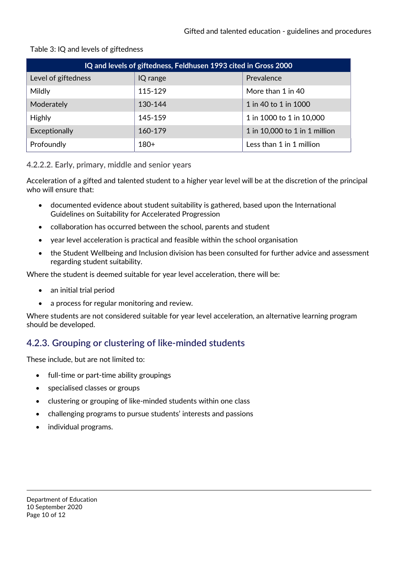| IQ and levels of giftedness, Feldhusen 1993 cited in Gross 2000 |          |                               |  |  |
|-----------------------------------------------------------------|----------|-------------------------------|--|--|
| Level of giftedness                                             | IQ range | Prevalence                    |  |  |
| Mildly                                                          | 115-129  | More than 1 in 40             |  |  |
| Moderately                                                      | 130-144  | 1 in 40 to 1 in 1000          |  |  |
| <b>Highly</b>                                                   | 145-159  | 1 in 1000 to 1 in 10,000      |  |  |
| Exceptionally                                                   | 160-179  | 1 in 10,000 to 1 in 1 million |  |  |
| Profoundly                                                      | $180+$   | Less than 1 in 1 million      |  |  |

#### Table 3: IQ and levels of giftedness

#### 4.2.2.2. Early, primary, middle and senior years

Acceleration of a gifted and talented student to a higher year level will be at the discretion of the principal who will ensure that:

- documented evidence about student suitability is gathered, based upon the International Guidelines on Suitability for Accelerated Progression
- collaboration has occurred between the school, parents and student
- year level acceleration is practical and feasible within the school organisation
- the Student Wellbeing and Inclusion division has been consulted for further advice and assessment regarding student suitability.

Where the student is deemed suitable for year level acceleration, there will be:

- an initial trial period
- a process for regular monitoring and review.

Where students are not considered suitable for year level acceleration, an alternative learning program should be developed.

#### 4.2.3. Grouping or clustering of like-minded students

These include, but are not limited to:

- full-time or part-time ability groupings
- specialised classes or groups
- clustering or grouping of like-minded students within one class
- challenging programs to pursue students' interests and passions
- individual programs.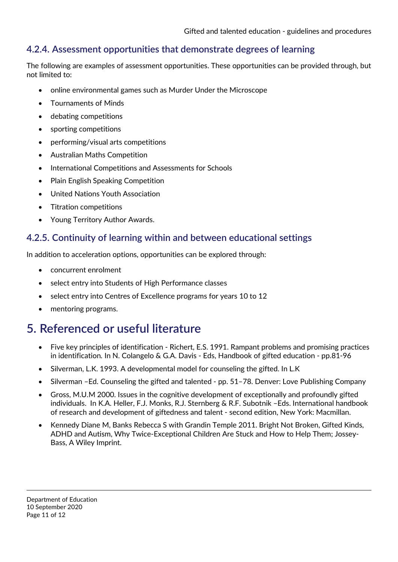#### 4.2.4. Assessment opportunities that demonstrate degrees of learning

The following are examples of assessment opportunities. These opportunities can be provided through, but not limited to:

- online environmental games such as Murder Under the Microscope
- Tournaments of Minds
- debating competitions
- sporting competitions
- performing/visual arts competitions
- Australian Maths Competition
- International Competitions and Assessments for Schools
- Plain English Speaking Competition
- United Nations Youth Association
- Titration competitions
- Young Territory Author Awards.

#### 4.2.5. Continuity of learning within and between educational settings

In addition to acceleration options, opportunities can be explored through:

- concurrent enrolment
- select entry into Students of High Performance classes
- select entry into Centres of Excellence programs for years 10 to 12
- mentoring programs.

### 5. Referenced or useful literature

- Five key principles of identification Richert, E.S. 1991. Rampant problems and promising practices in identification. In N. Colangelo & G.A. Davis - Eds, Handbook of gifted education - pp.81-96
- Silverman, L.K. 1993. A developmental model for counseling the gifted. In L.K
- Silverman –Ed. Counseling the gifted and talented pp. 51–78. Denver: Love Publishing Company
- Gross, M.U.M 2000. Issues in the cognitive development of exceptionally and profoundly gifted individuals. In K.A. Heller, F.J. Monks, R.J. Sternberg & R.F. Subotnik –Eds. International handbook of research and development of giftedness and talent - second edition, New York: Macmillan.
- Kennedy Diane M, Banks Rebecca S with Grandin Temple 2011. Bright Not Broken, Gifted Kinds, ADHD and Autism, Why Twice-Exceptional Children Are Stuck and How to Help Them; Jossey-Bass, A Wiley Imprint.